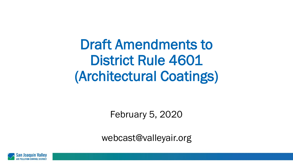Draft Amendments to District Rule 4601 (Architectural Coatings)

February 5, 2020

webcast@valleyair.org

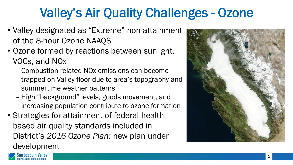# Valley's Air Quality Challenges - Ozone

- Valley designated as "Extreme" non-attainment of the 8-hour Ozone NAAQS
- Ozone formed by reactions between sunlight, VOCs, and NOx
	- Combustion-related NOx emissions can become trapped on Valley floor due to area's topography and summertime weather patterns
	- High "background" levels, goods movement, and increasing population contribute to ozone formation
- Strategies for attainment of federal healthbased air quality standards included in District's *2016 Ozone Plan;* new plan under development

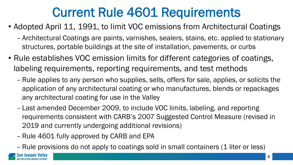## Current Rule 4601 Requirements

- Adopted April 11, 1991, to limit VOC emissions from Architectural Coatings
	- Architectural Coatings are paints, varnishes, sealers, stains, etc. applied to stationary structures, portable buildings at the site of installation, pavements, or curbs
- Rule establishes VOC emission limits for different categories of coatings, labeling requirements, reporting requirements, and test methods
	- Rule applies to any person who supplies, sells, offers for sale, applies, or solicits the application of any architectural coating or who manufactures, blends or repackages any architectural coating for use in the Valley
	- Last amended December 2009, to include VOC limits, labeling, and reporting requirements consistent with CARB's 2007 Suggested Control Measure (revised in 2019 and currently undergoing additional revisions)
	- Rule 4601 fully approved by CARB and EPA
	- Rule provisions do not apply to coatings sold in small containers (1 liter or less)

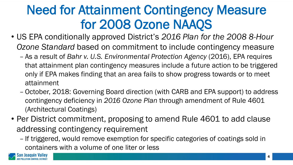# Need for Attainment Contingency Measure for 2008 Ozone NAAQS

- US EPA conditionally approved District's *2016 Plan for the 2008 8-Hour Ozone Standard* based on commitment to include contingency measure
	- As a result of *Bahr v. U.S. Environmental Protection Agency* (2016), EPA requires that attainment plan contingency measures include a future action to be triggered only if EPA makes finding that an area fails to show progress towards or to meet attainment
	- October, 2018: Governing Board direction (with CARB and EPA support) to address contingency deficiency in *2016 Ozone Plan* through amendment of Rule 4601 (Architectural Coatings)
- Per District commitment, proposing to amend Rule 4601 to add clause addressing contingency requirement
	- If triggered, would remove exemption for specific categories of coatings sold in containers with a volume of one liter or less

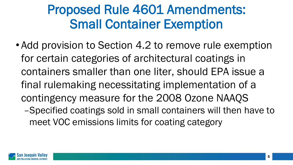## Proposed Rule 4601 Amendments: Small Container Exemption

• Add provision to Section 4.2 to remove rule exemption for certain categories of architectural coatings in containers smaller than one liter, should EPA issue a final rulemaking necessitating implementation of a contingency measure for the 2008 Ozone NAAQS –Specified coatings sold in small containers will then have to meet VOC emissions limits for coating category

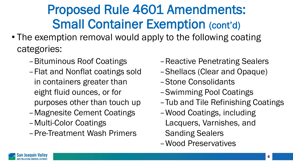# Proposed Rule 4601 Amendments: Small Container Exemption (cont'd)

- The exemption removal would apply to the following coating categories:
	- –Bituminous Roof Coatings
	- –Flat and Nonflat coatings sold in containers greater than eight fluid ounces, or for purposes other than touch up
	- –Magnesite Cement Coatings
	- –Multi-Color Coatings
	- –Pre-Treatment Wash Primers
- –Reactive Penetrating Sealers
- –Shellacs (Clear and Opaque)
- –Stone Consolidants
- –Swimming Pool Coatings
- –Tub and Tile Refinishing Coatings
- –Wood Coatings, including Lacquers, Varnishes, and Sanding Sealers
- –Wood Preservatives

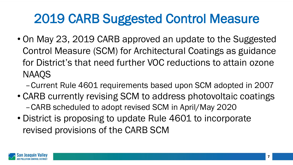# 2019 CARB Suggested Control Measure

- On May 23, 2019 CARB approved an update to the Suggested Control Measure (SCM) for Architectural Coatings as guidance for District's that need further VOC reductions to attain ozone NAAQS
	- –Current Rule 4601 requirements based upon SCM adopted in 2007
- CARB currently revising SCM to address photovoltaic coatings –CARB scheduled to adopt revised SCM in April/May 2020
- District is proposing to update Rule 4601 to incorporate revised provisions of the CARB SCM

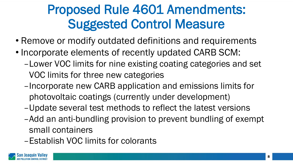# Proposed Rule 4601 Amendments: Suggested Control Measure

- Remove or modify outdated definitions and requirements
- Incorporate elements of recently updated CARB SCM:
	- –Lower VOC limits for nine existing coating categories and set VOC limits for three new categories
	- –Incorporate new CARB application and emissions limits for photovoltaic coatings (currently under development)
	- –Update several test methods to reflect the latest versions
	- –Add an anti-bundling provision to prevent bundling of exempt small containers
	- –Establish VOC limits for colorants

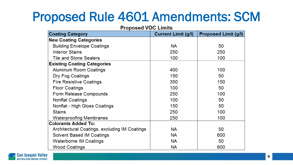## Proposed Rule 4601 Amendments: SCM

| гторозей үйн нишэ                             |                            |                             |
|-----------------------------------------------|----------------------------|-----------------------------|
| <b>Coating Category</b>                       | <b>Current Limit (g/l)</b> | <b>Proposed Limit (g/l)</b> |
| <b>New Coating Categories</b>                 |                            |                             |
| <b>Building Envelope Coatings</b>             | <b>NA</b>                  | 50                          |
| <b>Interior Stains</b>                        | 250                        | 250                         |
| <b>Tile and Stone Sealers</b>                 | 100                        | 100                         |
| <b>Existing Coating Categories</b>            |                            |                             |
| <b>Aluminum Room Coatings</b>                 | 400                        | 100                         |
| Dry Fog Coatings                              | 150                        | 50                          |
| <b>Fire Resistive Coatings</b>                | 350                        | 150                         |
| <b>Floor Coatings</b>                         | 100                        | 50                          |
| Form Release Compounds                        | 250                        | 100                         |
| <b>Nonflat Coatings</b>                       | 100                        | 50                          |
| Nonflat - High Gloss Coatings                 | 150                        | 50                          |
| <b>Stains</b>                                 | 250                        | 100                         |
| <b>Waterproofing Membranes</b>                | 250                        | 100                         |
| <b>Colorants Added To:</b>                    |                            |                             |
| Architectural Coatings, excluding IM Coatings | <b>NA</b>                  | 50                          |
| Solvent Based IM Coatings                     | <b>NA</b>                  | 600                         |
| <b>Waterborne IM Coatings</b>                 | NА                         | 50                          |
| <b>Wood Coatings</b>                          | NА                         | 600                         |

#### **Proposed VOC Limits**

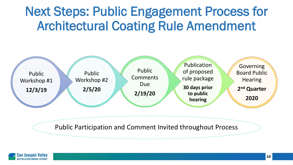# Next Steps: Public Engagement Process for Architectural Coating Rule Amendment



Public Participation and Comment Invited throughout Process

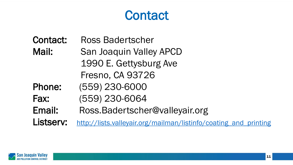#### **Contact**

Contact: Ross Badertscher Mail: San Joaquin Valley APCD 1990 E. Gettysburg Ave Fresno, CA 93726 Phone: (559) 230-6000 Fax: (559) 230-6064 Email: Ross.Badertscher@valleyair.org Listserv: http://lists.valleyair.org/mailman/listinfo/coating and printing